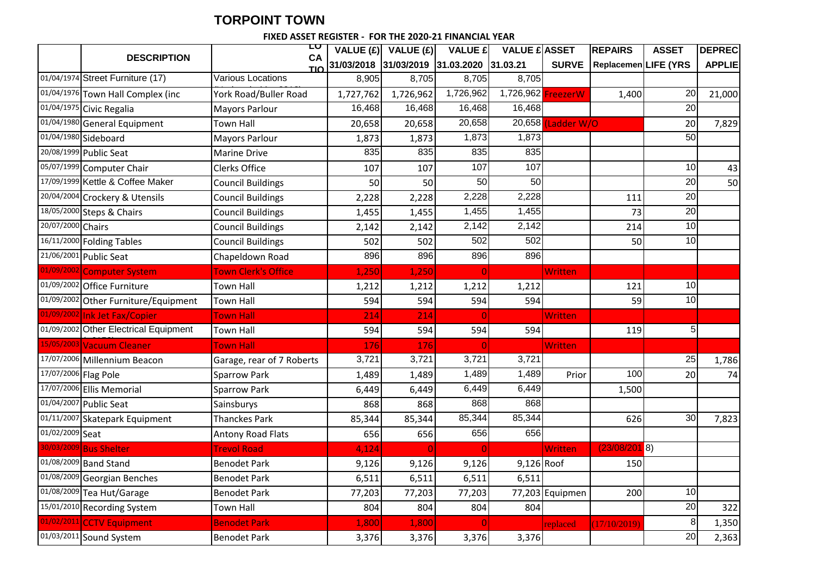## **TORPOINT TOWN**

## **COUNCILFIXED ASSET REGISTER - FOR THE 2020-21 FINANCIAL YEAR**

|                      |                                       | LU<br><b>CA</b>            | VALUE $(E)$ | VALUE(E)   | <b>VALUE £</b>      | <b>VALUE £ ASSET</b> |                              | <b>REPAIRS</b>       | <b>ASSET</b>    | <b>DEPREC</b> |
|----------------------|---------------------------------------|----------------------------|-------------|------------|---------------------|----------------------|------------------------------|----------------------|-----------------|---------------|
|                      | <b>DESCRIPTION</b>                    | <b>TIO</b>                 | 31/03/2018  | 31/03/2019 | 31.03.2020 31.03.21 |                      | <b>SURVE</b>                 | Replacemen LIFE (YRS |                 | <b>APPLIE</b> |
|                      | 01/04/1974 Street Furniture (17)      | Various Locations          | 8,905       | 8,705      | 8,705               | 8,705                |                              |                      |                 |               |
|                      | 01/04/1976 Town Hall Complex (inc     | York Road/Buller Road      | 1,727,762   | 1,726,962  | 1,726,962           | 1,726,962 Freezer W  |                              | 1,400                | 20              | 21,000        |
|                      | 01/04/1975 Civic Regalia              | <b>Mayors Parlour</b>      | 16,468      | 16,468     | 16,468              | 16,468               |                              |                      | 20              |               |
| 01/04/1980           | General Equipment                     | <b>Town Hall</b>           | 20,658      | 20,658     | 20,658              |                      | 20,658 (Ladder W/O           |                      | 20              | 7,829         |
|                      | 01/04/1980 Sideboard                  | <b>Mayors Parlour</b>      | 1,873       | 1,873      | 1,873               | 1,873                |                              |                      | 50              |               |
|                      | 20/08/1999 Public Seat                | <b>Marine Drive</b>        | 835         | 835        | 835                 | 835                  |                              |                      |                 |               |
|                      | 05/07/1999 Computer Chair             | <b>Clerks Office</b>       | 107         | 107        | 107                 | 107                  |                              |                      | 10              | 43            |
|                      | 17/09/1999 Kettle & Coffee Maker      | <b>Council Buildings</b>   | 50          | 50         | 50                  | 50                   |                              |                      | $\overline{20}$ | 50            |
|                      | 20/04/2004 Crockery & Utensils        | <b>Council Buildings</b>   | 2,228       | 2,228      | 2,228               | 2,228                |                              | 111                  | $\overline{20}$ |               |
|                      | 18/05/2000 Steps & Chairs             | <b>Council Buildings</b>   | 1,455       | 1,455      | 1,455               | 1,455                |                              | 73                   | 20              |               |
| 20/07/2000 Chairs    |                                       | <b>Council Buildings</b>   | 2,142       | 2,142      | 2,142               | 2,142                |                              | 214                  | $\overline{10}$ |               |
|                      | 16/11/2000 Folding Tables             | <b>Council Buildings</b>   | 502         | 502        | 502                 | 502                  |                              | 50                   | 10              |               |
|                      | 21/06/2001 Public Seat                | Chapeldown Road            | 896         | 896        | 896                 | 896                  |                              |                      |                 |               |
|                      | 01/09/2002 Computer System            | <b>Town Clerk's Office</b> | 1,250       | 1,250      | $\boldsymbol{0}$    |                      | Written                      |                      |                 |               |
|                      | 01/09/2002 Office Furniture           | <b>Town Hall</b>           | 1,212       | 1,212      | 1,212               | 1,212                |                              | 121                  | 10              |               |
|                      | 01/09/2002 Other Furniture/Equipment  | <b>Town Hall</b>           | 594         | 594        | 594                 | 594                  |                              | 59                   | 10              |               |
|                      | 01/09/2002 Ink Jet Fax/Copier         | <b>Town Hall</b>           | 214         | 214        | $\overline{0}$      |                      | Written                      |                      |                 |               |
|                      | 01/09/2002 Other Electrical Equipment | <b>Town Hall</b>           | 594         | 594        | 594                 | 594                  |                              | 119                  | 5               |               |
|                      | 15/05/2003 Vacuum Cleaner             | <b>Town Hall</b>           | 176         | 176        | $\overline{0}$      |                      | Written                      |                      |                 |               |
|                      | 17/07/2006 Millennium Beacon          | Garage, rear of 7 Roberts  | 3,721       | 3,721      | 3,721               | 3,721                |                              |                      | 25              | 1,786         |
| 17/07/2006 Flag Pole |                                       | <b>Sparrow Park</b>        | 1,489       | 1,489      | 1,489               | 1,489                | Prior                        | 100                  | 20              | 74            |
|                      | 17/07/2006 Ellis Memorial             | <b>Sparrow Park</b>        | 6,449       | 6,449      | 6,449               | 6,449                |                              | 1,500                |                 |               |
|                      | 01/04/2007 Public Seat                | Sainsburys                 | 868         | 868        | 868                 | 868                  |                              |                      |                 |               |
| 01/11/2007           | Skatepark Equipment                   | <b>Thanckes Park</b>       | 85,344      | 85,344     | 85,344              | 85,344               |                              | 626                  | 30              | 7,823         |
| 01/02/2009 Seat      |                                       | <b>Antony Road Flats</b>   | 656         | 656        | 656                 | 656                  |                              |                      |                 |               |
|                      | 30/03/2009 Bus Shelter                | <b>Trevol Road</b>         | 4,124       | $\Omega$   | $\overline{0}$      |                      | Written                      | (23/08/2018)         |                 |               |
|                      | 01/08/2009 Band Stand                 | <b>Benodet Park</b>        | 9,126       | 9,126      | 9,126               | 9,126 Roof           |                              | 150                  |                 |               |
|                      | 01/08/2009 Georgian Benches           | <b>Benodet Park</b>        | 6,511       | 6,511      | 6,511               | 6,511                |                              |                      |                 |               |
|                      | 01/08/2009 Tea Hut/Garage             | <b>Benodet Park</b>        | 77,203      | 77,203     | 77,203              |                      | $\overline{77,}203$ Equipmen | 200                  | 10              |               |
|                      | 15/01/2010 Recording System           | Town Hall                  | 804         | 804        | 804                 | 804                  |                              |                      | 20              | 322           |
| 01/02/2011           | <b>CCTV Equipment</b>                 | <b>Benodet Park</b>        | 1,800       | 1,800      | $\overline{0}$      |                      | replaced                     | (17/10/2019)         | 8               | 1,350         |
|                      | 01/03/2011 Sound System               | <b>Benodet Park</b>        | 3,376       | 3,376      | 3,376               | 3,376                |                              |                      | 20              | 2,363         |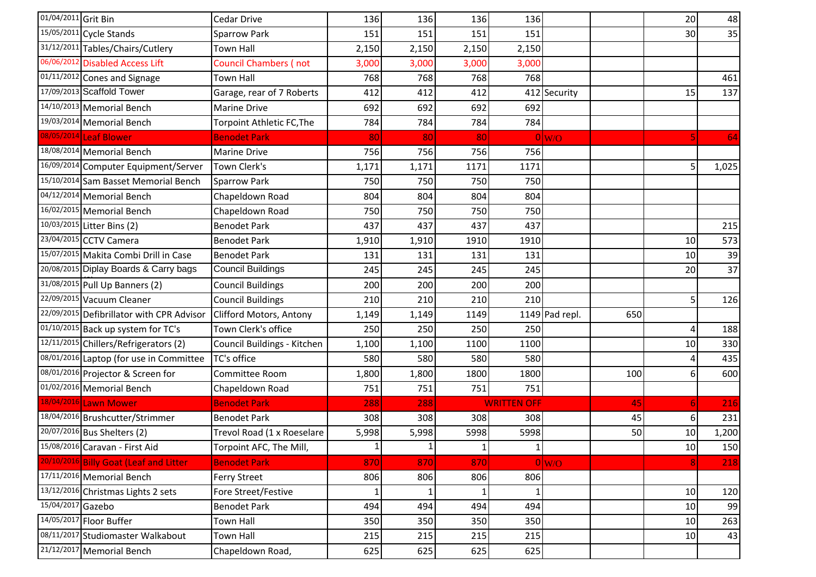| 01/04/2011 Grit Bin |                                           | Cedar Drive                  | 136   | 136   | 136          | 136                |                   |     | 20             | 48    |
|---------------------|-------------------------------------------|------------------------------|-------|-------|--------------|--------------------|-------------------|-----|----------------|-------|
|                     | 15/05/2011 Cycle Stands                   | Sparrow Park                 | 151   | 151   | 151          | 151                |                   |     | 30             | 35    |
|                     | 31/12/2011 Tables/Chairs/Cutlery          | <b>Town Hall</b>             | 2,150 | 2,150 | 2,150        | 2,150              |                   |     |                |       |
|                     | 06/06/2012 Disabled Access Lift           | <b>Council Chambers (not</b> | 3,000 | 3,000 | 3,000        | 3,000              |                   |     |                |       |
|                     | 01/11/2012 Cones and Signage              | <b>Town Hall</b>             | 768   | 768   | 768          | 768                |                   |     |                | 461   |
|                     | 17/09/2013 Scaffold Tower                 | Garage, rear of 7 Roberts    | 412   | 412   | 412          |                    | 412 Security      |     | 15             | 137   |
|                     | 14/10/2013 Memorial Bench                 | Marine Drive                 | 692   | 692   | 692          | 692                |                   |     |                |       |
|                     | 19/03/2014 Memorial Bench                 | Torpoint Athletic FC, The    | 784   | 784   | 784          | 784                |                   |     |                |       |
|                     | 08/05/2014 Leaf Blower                    | <b>Benodet Park</b>          | 80    | 80    | 80           |                    | $0 _{\text{W/O}}$ |     | $\overline{5}$ | 64    |
|                     | 18/08/2014 Memorial Bench                 | Marine Drive                 | 756   | 756   | 756          | 756                |                   |     |                |       |
|                     | 16/09/2014 Computer Equipment/Server      | Town Clerk's                 | 1,171 | 1,171 | 1171         | 1171               |                   |     | 5              | 1,025 |
|                     | 15/10/2014 Sam Basset Memorial Bench      | <b>Sparrow Park</b>          | 750   | 750   | 750          | 750                |                   |     |                |       |
|                     | 04/12/2014 Memorial Bench                 | Chapeldown Road              | 804   | 804   | 804          | 804                |                   |     |                |       |
|                     | 16/02/2015 Memorial Bench                 | Chapeldown Road              | 750   | 750   | 750          | 750                |                   |     |                |       |
|                     | 10/03/2015 Litter Bins (2)                | <b>Benodet Park</b>          | 437   | 437   | 437          | 437                |                   |     |                | 215   |
|                     | 23/04/2015 CCTV Camera                    | <b>Benodet Park</b>          | 1,910 | 1,910 | 1910         | 1910               |                   |     | 10             | 573   |
|                     | 15/07/2015 Makita Combi Drill in Case     | <b>Benodet Park</b>          | 131   | 131   | 131          | 131                |                   |     | 10             | 39    |
|                     | 20/08/2015 Diplay Boards & Carry bags     | <b>Council Buildings</b>     | 245   | 245   | 245          | 245                |                   |     | 20             | 37    |
|                     | 31/08/2015 Pull Up Banners (2)            | <b>Council Buildings</b>     | 200   | 200   | 200          | 200                |                   |     |                |       |
|                     | 22/09/2015 Vacuum Cleaner                 | <b>Council Buildings</b>     | 210   | 210   | 210          | 210                |                   |     | 5              | 126   |
|                     | 22/09/2015 Defibrillator with CPR Advisor | Clifford Motors, Antony      | 1,149 | 1,149 | 1149         |                    | 1149 Pad repl.    | 650 |                |       |
|                     | 01/10/2015 Back up system for TC's        | Town Clerk's office          | 250   | 250   | 250          | 250                |                   |     | 4              | 188   |
|                     | $12/11/2015$ Chillers/Refrigerators (2)   | Council Buildings - Kitchen  | 1,100 | 1,100 | 1100         | 1100               |                   |     | 10             | 330   |
|                     | 08/01/2016 Laptop (for use in Committee   | TC's office                  | 580   | 580   | 580          | 580                |                   |     | Δ              | 435   |
|                     | 08/01/2016 Projector & Screen for         | Committee Room               | 1,800 | 1,800 | 1800         | 1800               |                   | 100 | 6              | 600   |
|                     | 01/02/2016 Memorial Bench                 | Chapeldown Road              | 751   | 751   | 751          | 751                |                   |     |                |       |
|                     | 18/04/2016 Lawn Mower                     | <b>Benodet Park</b>          | 288   | 288   |              | <b>WRITTEN OFF</b> |                   | 45  | 6 <sup>1</sup> | 216   |
|                     | 18/04/2016 Brushcutter/Strimmer           | <b>Benodet Park</b>          | 308   | 308   | 308          | 308                |                   | 45  | 6              | 231   |
|                     | 20/07/2016 Bus Shelters (2)               | Trevol Road (1 x Roeselare   | 5,998 | 5,998 | 5998         | 5998               |                   | 50  | 10             | 1,200 |
|                     | 15/08/2016 Caravan - First Aid            | Torpoint AFC, The Mill,      | 1     |       | $\mathbf{1}$ | $1\vert$           |                   |     | $10\,$         | 150   |
|                     | 20/10/2016 Billy Goat (Leaf and Litter    | <b>Benodet Park</b>          | 870   | 870   | 870          |                    | $0 _{W/O}$        |     | 8 <sup>1</sup> | 218   |
|                     | 17/11/2016 Memorial Bench                 | Ferry Street                 | 806   | 806   | 806          | 806                |                   |     |                |       |
|                     | 13/12/2016 Christmas Lights 2 sets        | Fore Street/Festive          |       |       |              | $1\vert$           |                   |     | 10             | 120   |
| 15/04/2017 Gazebo   |                                           | <b>Benodet Park</b>          | 494   | 494   | 494          | 494                |                   |     | 10             | 99    |
|                     | 14/05/2017 Floor Buffer                   | <b>Town Hall</b>             | 350   | 350   | 350          | 350                |                   |     | 10             | 263   |
|                     | 08/11/2017 Studiomaster Walkabout         | Town Hall                    | 215   | 215   | 215          | 215                |                   |     | 10             | 43    |
|                     | 21/12/2017 Memorial Bench                 | Chapeldown Road,             | 625   | 625   | 625          | 625                |                   |     |                |       |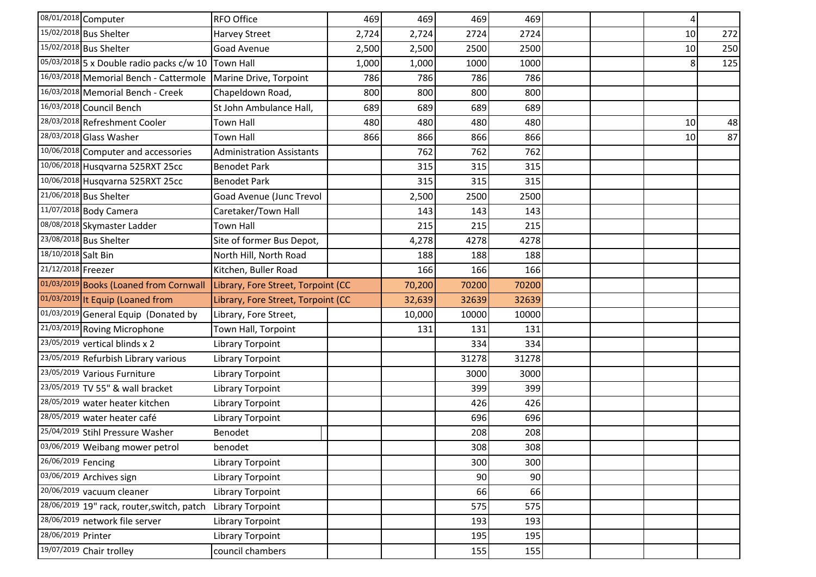|                     | 08/01/2018 Computer                        | RFO Office                         | 469   | 469    | 469   | 469   |  | 4  |     |
|---------------------|--------------------------------------------|------------------------------------|-------|--------|-------|-------|--|----|-----|
|                     | 15/02/2018 Bus Shelter                     | Harvey Street                      | 2,724 | 2,724  | 2724  | 2724  |  | 10 | 272 |
|                     | 15/02/2018 Bus Shelter                     | Goad Avenue                        | 2,500 | 2,500  | 2500  | 2500  |  | 10 | 250 |
|                     | 05/03/2018 5 x Double radio packs c/w 10   | <b>Town Hall</b>                   | 1,000 | 1,000  | 1000  | 1000  |  | 8  | 125 |
|                     | 16/03/2018 Memorial Bench - Cattermole     | Marine Drive, Torpoint             | 786   | 786    | 786   | 786   |  |    |     |
|                     | 16/03/2018 Memorial Bench - Creek          | Chapeldown Road,                   | 800   | 800    | 800   | 800   |  |    |     |
|                     | 16/03/2018 Council Bench                   | St John Ambulance Hall,            | 689   | 689    | 689   | 689   |  |    |     |
|                     | 28/03/2018 Refreshment Cooler              | Town Hall                          | 480   | 480    | 480   | 480   |  | 10 | 48  |
|                     | 28/03/2018 Glass Washer                    | <b>Town Hall</b>                   | 866   | 866    | 866   | 866   |  | 10 | 87  |
|                     | 10/06/2018 Computer and accessories        | <b>Administration Assistants</b>   |       | 762    | 762   | 762   |  |    |     |
|                     | 10/06/2018 Husqvarna 525RXT 25cc           | <b>Benodet Park</b>                |       | 315    | 315   | 315   |  |    |     |
|                     | 10/06/2018 Husqvarna 525RXT 25cc           | <b>Benodet Park</b>                |       | 315    | 315   | 315   |  |    |     |
|                     | 21/06/2018 Bus Shelter                     | Goad Avenue (Junc Trevol           |       | 2,500  | 2500  | 2500  |  |    |     |
|                     | 11/07/2018 Body Camera                     | Caretaker/Town Hall                |       | 143    | 143   | 143   |  |    |     |
|                     | 08/08/2018 Skymaster Ladder                | <b>Town Hall</b>                   |       | 215    | 215   | 215   |  |    |     |
|                     | 23/08/2018 Bus Shelter                     | Site of former Bus Depot,          |       | 4,278  | 4278  | 4278  |  |    |     |
| 18/10/2018 Salt Bin |                                            | North Hill, North Road             |       | 188    | 188   | 188   |  |    |     |
| 21/12/2018 Freezer  |                                            | Kitchen, Buller Road               |       | 166    | 166   | 166   |  |    |     |
|                     | 01/03/2019 Books (Loaned from Cornwall     | Library, Fore Street, Torpoint (CC |       | 70,200 | 70200 | 70200 |  |    |     |
|                     | 01/03/2019 It Equip (Loaned from           | Library, Fore Street, Torpoint (CC |       | 32,639 | 32639 | 32639 |  |    |     |
|                     | 01/03/2019 General Equip (Donated by       | Library, Fore Street,              |       | 10,000 | 10000 | 10000 |  |    |     |
|                     | 21/03/2019 Roving Microphone               | Town Hall, Torpoint                |       | 131    | 131   | 131   |  |    |     |
|                     | 23/05/2019 vertical blinds x 2             | Library Torpoint                   |       |        | 334   | 334   |  |    |     |
|                     | 23/05/2019 Refurbish Library various       | Library Torpoint                   |       |        | 31278 | 31278 |  |    |     |
|                     | 23/05/2019 Various Furniture               | Library Torpoint                   |       |        | 3000  | 3000  |  |    |     |
|                     | 23/05/2019 TV 55" & wall bracket           | Library Torpoint                   |       |        | 399   | 399   |  |    |     |
|                     | 28/05/2019 water heater kitchen            | Library Torpoint                   |       |        | 426   | 426   |  |    |     |
|                     | 28/05/2019 water heater café               | Library Torpoint                   |       |        | 696   | 696   |  |    |     |
|                     | 25/04/2019 Stihl Pressure Washer           | Benodet                            |       |        | 208   | 208   |  |    |     |
|                     | 03/06/2019 Weibang mower petrol            | benodet                            |       |        | 308   | 308   |  |    |     |
| 26/06/2019 Fencing  |                                            | Library Torpoint                   |       |        | 300   | 300   |  |    |     |
|                     | 03/06/2019 Archives sign                   | Library Torpoint                   |       |        | 90    | 90    |  |    |     |
|                     | 20/06/2019 vacuum cleaner                  | Library Torpoint                   |       |        | 66    | 66    |  |    |     |
|                     | 28/06/2019 19" rack, router, switch, patch | Library Torpoint                   |       |        | 575   | 575   |  |    |     |
|                     | 28/06/2019 network file server             | Library Torpoint                   |       |        | 193   | 193   |  |    |     |
| 28/06/2019 Printer  |                                            | Library Torpoint                   |       |        | 195   | 195   |  |    |     |
|                     | 19/07/2019 Chair trolley                   | council chambers                   |       |        | 155   | 155   |  |    |     |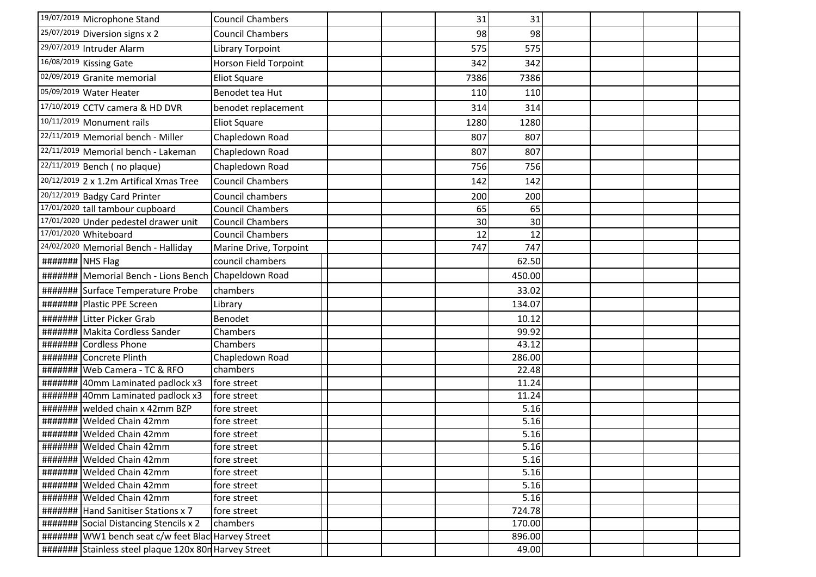| 19/07/2019 Microphone Stand                           | <b>Council Chambers</b> | 31   | 31     |  |  |
|-------------------------------------------------------|-------------------------|------|--------|--|--|
| $25/07/2019$ Diversion signs x 2                      | <b>Council Chambers</b> | 98   | 98     |  |  |
| 29/07/2019 Intruder Alarm                             | Library Torpoint        | 575  | 575    |  |  |
| 16/08/2019 Kissing Gate                               | Horson Field Torpoint   | 342  | 342    |  |  |
| 02/09/2019 Granite memorial                           | <b>Eliot Square</b>     | 7386 | 7386   |  |  |
| 05/09/2019 Water Heater                               | Benodet tea Hut         | 110  | 110    |  |  |
| 17/10/2019 CCTV camera & HD DVR                       | benodet replacement     | 314  | 314    |  |  |
| 10/11/2019 Monument rails                             | <b>Eliot Square</b>     | 1280 | 1280   |  |  |
| 22/11/2019 Memorial bench - Miller                    | Chapledown Road         | 807  | 807    |  |  |
| 22/11/2019 Memorial bench - Lakeman                   | Chapledown Road         | 807  | 807    |  |  |
| 22/11/2019 Bench (no plaque)                          | Chapledown Road         | 756  | 756    |  |  |
| 20/12/2019 2 x 1.2m Artifical Xmas Tree               | <b>Council Chambers</b> | 142  | 142    |  |  |
| 20/12/2019 Badgy Card Printer                         | Council chambers        | 200  | 200    |  |  |
| 17/01/2020 tall tambour cupboard                      | <b>Council Chambers</b> | 65   | 65     |  |  |
| 17/01/2020 Under pedestel drawer unit                 | <b>Council Chambers</b> | 30   | 30     |  |  |
| 17/01/2020 Whiteboard                                 | <b>Council Chambers</b> | 12   | 12     |  |  |
| 24/02/2020 Memorial Bench - Halliday                  | Marine Drive, Torpoint  | 747  | 747    |  |  |
| ####### NHS Flag                                      | council chambers        |      | 62.50  |  |  |
| ####### Memorial Bench - Lions Bench Chapeldown Road  |                         |      | 450.00 |  |  |
| ####### Surface Temperature Probe                     | chambers                |      | 33.02  |  |  |
| ####### Plastic PPE Screen                            | Library                 |      | 134.07 |  |  |
| ####### Litter Picker Grab                            | Benodet                 |      | 10.12  |  |  |
| ####### Makita Cordless Sander                        | Chambers                |      | 99.92  |  |  |
| ####### Cordless Phone                                | Chambers                |      | 43.12  |  |  |
| ####### Concrete Plinth                               | Chapledown Road         |      | 286.00 |  |  |
| #######   Web Camera - TC & RFO                       | chambers                |      | 22.48  |  |  |
| ####### 40mm Laminated padlock x3                     | fore street             |      | 11.24  |  |  |
| ######## 40mm Laminated padlock x3                    | fore street             |      | 11.24  |  |  |
| welded chain x 42mm BZP<br>#######                    | fore street             |      | 5.16   |  |  |
| ########   Welded Chain 42mm                          | fore street             |      | 5.16   |  |  |
| ####### Welded Chain 42mm                             | fore street             |      | 5.16   |  |  |
| ####### Welded Chain 42mm                             | fore street             |      | 5.16   |  |  |
| ########   Welded Chain 42mm                          | fore street             |      | 5.16   |  |  |
| #######   Welded Chain 42mm                           | fore street             |      | 5.16   |  |  |
| ########   Welded Chain 42mm                          | fore street             |      | 5.16   |  |  |
| ####### Welded Chain 42mm                             | fore street             |      | 5.16   |  |  |
| ####### Hand Sanitiser Stations x 7                   | fore street             |      | 724.78 |  |  |
| ####### Social Distancing Stencils x 2                | chambers                |      | 170.00 |  |  |
| #######   WW1 bench seat c/w feet Blac Harvey Street  |                         |      | 896.00 |  |  |
| ####### Stainless steel plaque 120x 80n Harvey Street |                         |      | 49.00  |  |  |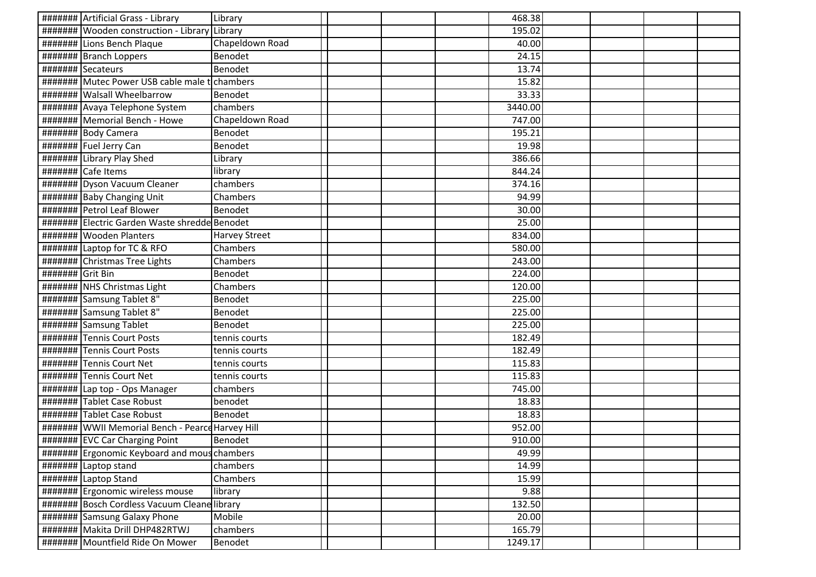|                  | ####### Artificial Grass - Library                                   | Library         |  | 468.38  |  |  |
|------------------|----------------------------------------------------------------------|-----------------|--|---------|--|--|
|                  | #######   Wooden construction - Library                              | Library         |  | 195.02  |  |  |
|                  | ####### Lions Bench Plaque                                           | Chapeldown Road |  | 40.00   |  |  |
|                  | ####### Branch Loppers                                               | Benodet         |  | 24.15   |  |  |
|                  | ####### Secateurs                                                    | Benodet         |  | 13.74   |  |  |
|                  | ######## Mutec Power USB cable male to chambers                      |                 |  | 15.82   |  |  |
|                  | #######   Walsall Wheelbarrow                                        | Benodet         |  | 33.33   |  |  |
|                  | ####### Avaya Telephone System                                       | chambers        |  | 3440.00 |  |  |
|                  | ####### Memorial Bench - Howe                                        | Chapeldown Road |  | 747.00  |  |  |
|                  | ####### Body Camera                                                  | Benodet         |  | 195.21  |  |  |
|                  | ####### Fuel Jerry Can                                               | Benodet         |  | 19.98   |  |  |
|                  | ####### Library Play Shed                                            | Library         |  | 386.66  |  |  |
|                  | ####### Cafe Items                                                   | library         |  | 844.24  |  |  |
|                  | ####### Dyson Vacuum Cleaner                                         | chambers        |  | 374.16  |  |  |
|                  | ####### Baby Changing Unit                                           | Chambers        |  | 94.99   |  |  |
|                  | ####### Petrol Leaf Blower                                           | Benodet         |  | 30.00   |  |  |
|                  | ####### Electric Garden Waste shredde Benodet                        |                 |  | 25.00   |  |  |
|                  | #######   Wooden Planters                                            | Harvey Street   |  | 834.00  |  |  |
|                  | ####### Laptop for TC & RFO                                          | Chambers        |  | 580.00  |  |  |
|                  | ####### Christmas Tree Lights                                        | Chambers        |  | 243.00  |  |  |
| ####### Grit Bin |                                                                      | Benodet         |  | 224.00  |  |  |
|                  | ####### NHS Christmas Light                                          | Chambers        |  | 120.00  |  |  |
|                  | ####### Samsung Tablet 8"                                            | Benodet         |  | 225.00  |  |  |
|                  | ######## Samsung Tablet 8"                                           | Benodet         |  | 225.00  |  |  |
|                  | ####### Samsung Tablet                                               | Benodet         |  | 225.00  |  |  |
|                  | ####### Tennis Court Posts                                           | tennis courts   |  | 182.49  |  |  |
|                  | ####### Tennis Court Posts                                           | tennis courts   |  | 182.49  |  |  |
| #######          | Tennis Court Net                                                     | tennis courts   |  | 115.83  |  |  |
| #######          | <b>Tennis Court Net</b>                                              | tennis courts   |  | 115.83  |  |  |
|                  | ####### Lap top - Ops Manager                                        | chambers        |  | 745.00  |  |  |
|                  | ####### Tablet Case Robust                                           | benodet         |  | 18.83   |  |  |
|                  | ####### Tablet Case Robust                                           | Benodet         |  | 18.83   |  |  |
|                  | #######   WWII Memorial Bench - Pearce Harvey Hill                   |                 |  | 952.00  |  |  |
|                  | ####### EVC Car Charging Point                                       | Benodet         |  | 910.00  |  |  |
|                  | ####### Ergonomic Keyboard and mouschambers                          |                 |  | 49.99   |  |  |
|                  | $\frac{+}{+}$ $\frac{+}{+}$ $\frac{+}{+}$ $\frac{+}{+}$ Laptop stand | chambers        |  | 14.99   |  |  |
|                  | ####### Laptop Stand                                                 | Chambers        |  | 15.99   |  |  |
|                  | ######## Ergonomic wireless mouse                                    | library         |  | 9.88    |  |  |
|                  | ####### Bosch Cordless Vacuum Cleane library                         |                 |  | 132.50  |  |  |
|                  | ####### Samsung Galaxy Phone                                         | Mobile          |  | 20.00   |  |  |
|                  | ####### Makita Drill DHP482RTWJ                                      | chambers        |  | 165.79  |  |  |
|                  | ####### Mountfield Ride On Mower                                     | Benodet         |  | 1249.17 |  |  |